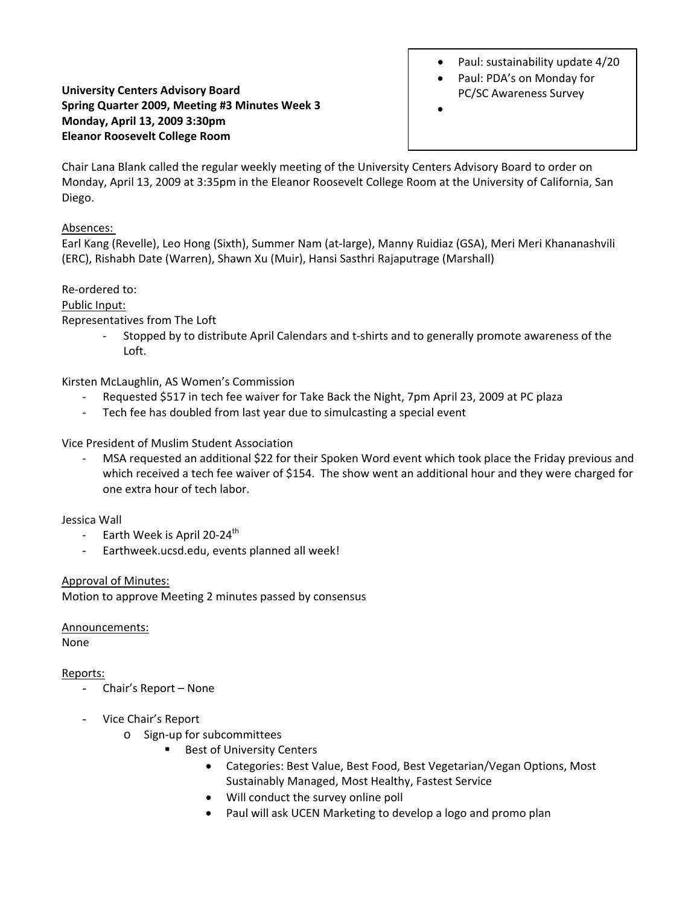# Paul: sustainability update 4/20

- Paul: PDA's on Monday for PC/SC Awareness Survey
- •

## **University Centers Advisory Board Spring Quarter 2009, Meeting #3 Minutes Week 3 Monday, April 13, 2009 3:30pm Eleanor Roosevelt College Room**

Chair Lana Blank called the regular weekly meeting of the University Centers Advisory Board to order on Monday, April 13, 2009 at 3:35pm in the Eleanor Roosevelt College Room at the University of California, San Diego.

#### Absences:

Earl Kang (Revelle), Leo Hong (Sixth), Summer Nam (at‐large), Manny Ruidiaz (GSA), Meri Meri Khananashvili (ERC), Rishabh Date (Warren), Shawn Xu (Muir), Hansi Sasthri Rajaputrage (Marshall)

Re‐ordered to:

## Public Input:

Representatives from The Loft

‐ Stopped by to distribute April Calendars and t‐shirts and to generally promote awareness of the Loft.

Kirsten McLaughlin, AS Women's Commission

- ‐ Requested \$517 in tech fee waiver for Take Back the Night, 7pm April 23, 2009 at PC plaza
- ‐ Tech fee has doubled from last year due to simulcasting a special event

Vice President of Muslim Student Association

MSA requested an additional \$22 for their Spoken Word event which took place the Friday previous and which received a tech fee waiver of \$154. The show went an additional hour and they were charged for one extra hour of tech labor.

# Jessica Wall

- ‐ Earth Week is April 20‐24th
- ‐ Earthweek.ucsd.edu, events planned all week!

# Approval of Minutes:

Motion to approve Meeting 2 minutes passed by consensus

Announcements:

None

#### Reports:

- Chair's Report None
- Vice Chair's Report
	- o Sign‐up for subcommittees
		- Best of University Centers
			- Categories: Best Value, Best Food, Best Vegetarian/Vegan Options, Most Sustainably Managed, Most Healthy, Fastest Service
			- Will conduct the survey online poll
			- Paul will ask UCEN Marketing to develop a logo and promo plan